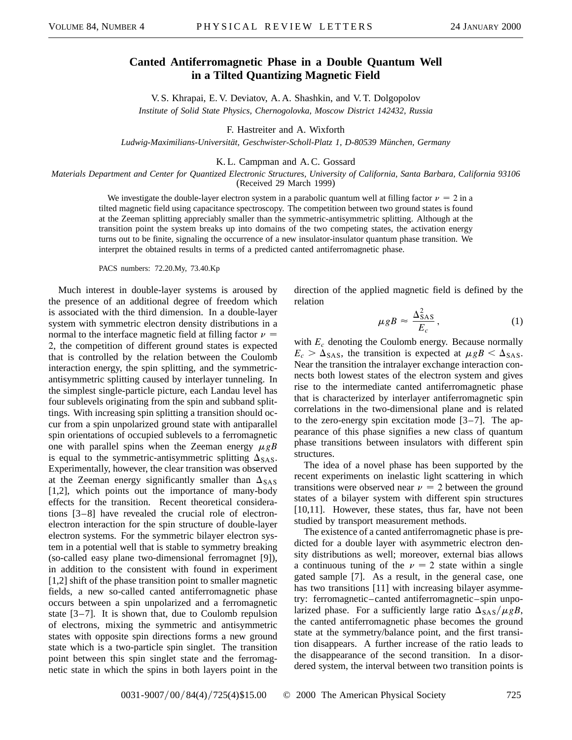## **Canted Antiferromagnetic Phase in a Double Quantum Well in a Tilted Quantizing Magnetic Field**

V. S. Khrapai, E. V. Deviatov, A. A. Shashkin, and V. T. Dolgopolov *Institute of Solid State Physics, Chernogolovka, Moscow District 142432, Russia*

F. Hastreiter and A. Wixforth

*Ludwig-Maximilians-Universität, Geschwister-Scholl-Platz 1, D-80539 München, Germany*

## K. L. Campman and A. C. Gossard

*Materials Department and Center for Quantized Electronic Structures, University of California, Santa Barbara, California 93106* (Received 29 March 1999)

We investigate the double-layer electron system in a parabolic quantum well at filling factor  $\nu = 2$  in a tilted magnetic field using capacitance spectroscopy. The competition between two ground states is found at the Zeeman splitting appreciably smaller than the symmetric-antisymmetric splitting. Although at the transition point the system breaks up into domains of the two competing states, the activation energy turns out to be finite, signaling the occurrence of a new insulator-insulator quantum phase transition. We interpret the obtained results in terms of a predicted canted antiferromagnetic phase.

PACS numbers: 72.20.My, 73.40.Kp

Much interest in double-layer systems is aroused by the presence of an additional degree of freedom which is associated with the third dimension. In a double-layer system with symmetric electron density distributions in a normal to the interface magnetic field at filling factor  $\nu =$ 2, the competition of different ground states is expected that is controlled by the relation between the Coulomb interaction energy, the spin splitting, and the symmetricantisymmetric splitting caused by interlayer tunneling. In the simplest single-particle picture, each Landau level has four sublevels originating from the spin and subband splittings. With increasing spin splitting a transition should occur from a spin unpolarized ground state with antiparallel spin orientations of occupied sublevels to a ferromagnetic one with parallel spins when the Zeeman energy  $\mu gB$ is equal to the symmetric-antisymmetric splitting  $\Delta_{SAS}$ . Experimentally, however, the clear transition was observed at the Zeeman energy significantly smaller than  $\Delta_{SAS}$ [1,2], which points out the importance of many-body effects for the transition. Recent theoretical considerations [3–8] have revealed the crucial role of electronelectron interaction for the spin structure of double-layer electron systems. For the symmetric bilayer electron system in a potential well that is stable to symmetry breaking (so-called easy plane two-dimensional ferromagnet [9]), in addition to the consistent with found in experiment [1,2] shift of the phase transition point to smaller magnetic fields, a new so-called canted antiferromagnetic phase occurs between a spin unpolarized and a ferromagnetic state  $[3-7]$ . It is shown that, due to Coulomb repulsion of electrons, mixing the symmetric and antisymmetric states with opposite spin directions forms a new ground state which is a two-particle spin singlet. The transition point between this spin singlet state and the ferromagnetic state in which the spins in both layers point in the direction of the applied magnetic field is defined by the relation

$$
\mu g B \approx \frac{\Delta_{SAS}^2}{E_c} \,, \tag{1}
$$

with *Ec* denoting the Coulomb energy. Because normally  $E_c > \Delta_{SAS}$ , the transition is expected at  $\mu g B < \Delta_{SAS}$ . Near the transition the intralayer exchange interaction connects both lowest states of the electron system and gives rise to the intermediate canted antiferromagnetic phase that is characterized by interlayer antiferromagnetic spin correlations in the two-dimensional plane and is related to the zero-energy spin excitation mode [3–7]. The appearance of this phase signifies a new class of quantum phase transitions between insulators with different spin structures.

The idea of a novel phase has been supported by the recent experiments on inelastic light scattering in which transitions were observed near  $\nu = 2$  between the ground states of a bilayer system with different spin structures [10,11]. However, these states, thus far, have not been studied by transport measurement methods.

The existence of a canted antiferromagnetic phase is predicted for a double layer with asymmetric electron density distributions as well; moreover, external bias allows a continuous tuning of the  $\nu = 2$  state within a single gated sample [7]. As a result, in the general case, one has two transitions [11] with increasing bilayer asymmetry: ferromagnetic–canted antiferromagnetic–spin unpolarized phase. For a sufficiently large ratio  $\Delta_{\text{SAS}}/\mu gB$ , the canted antiferromagnetic phase becomes the ground state at the symmetry/balance point, and the first transition disappears. A further increase of the ratio leads to the disappearance of the second transition. In a disordered system, the interval between two transition points is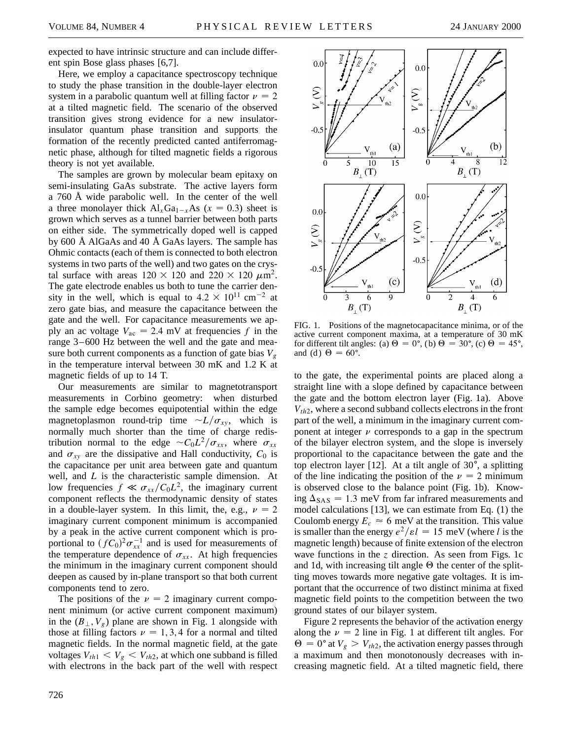expected to have intrinsic structure and can include different spin Bose glass phases [6,7].

Here, we employ a capacitance spectroscopy technique to study the phase transition in the double-layer electron system in a parabolic quantum well at filling factor  $\nu = 2$ at a tilted magnetic field. The scenario of the observed transition gives strong evidence for a new insulatorinsulator quantum phase transition and supports the formation of the recently predicted canted antiferromagnetic phase, although for tilted magnetic fields a rigorous theory is not yet available.

The samples are grown by molecular beam epitaxy on semi-insulating GaAs substrate. The active layers form a 760 Å wide parabolic well. In the center of the well a three monolayer thick  $Al_xGa_{1-x}As$  ( $x = 0.3$ ) sheet is grown which serves as a tunnel barrier between both parts on either side. The symmetrically doped well is capped by 600 Å AlGaAs and 40 Å GaAs layers. The sample has Ohmic contacts (each of them is connected to both electron systems in two parts of the well) and two gates on the crystal surface with areas  $120 \times 120$  and  $220 \times 120 \ \mu \text{m}^2$ . The gate electrode enables us both to tune the carrier density in the well, which is equal to  $4.2 \times 10^{11}$  cm<sup>-2</sup> at zero gate bias, and measure the capacitance between the gate and the well. For capacitance measurements we apply an ac voltage  $V_{ac} = 2.4$  mV at frequencies f in the range 3–600 Hz between the well and the gate and measure both current components as a function of gate bias  $V_g$ in the temperature interval between 30 mK and 1.2 K at magnetic fields of up to 14 T.

Our measurements are similar to magnetotransport measurements in Corbino geometry: when disturbed the sample edge becomes equipotential within the edge magnetoplasmon round-trip time  $\sim L/\sigma_{xy}$ , which is normally much shorter than the time of charge redistribution normal to the edge  $\sim C_0 L^2 / \sigma_{xx}$ , where  $\sigma_{xx}$ and  $\sigma_{xy}$  are the dissipative and Hall conductivity,  $C_0$  is the capacitance per unit area between gate and quantum well, and *L* is the characteristic sample dimension. At low frequencies  $f \ll \sigma_{xx}/C_0L^2$ , the imaginary current component reflects the thermodynamic density of states in a double-layer system. In this limit, the, e.g.,  $\nu = 2$ imaginary current component minimum is accompanied by a peak in the active current component which is proportional to  $(fC_0)^2 \sigma_{xx}^{-1}$  and is used for measurements of the temperature dependence of  $\sigma_{xx}$ . At high frequencies the minimum in the imaginary current component should deepen as caused by in-plane transport so that both current components tend to zero.

The positions of the  $\nu = 2$  imaginary current component minimum (or active current component maximum) in the  $(B_{\perp}, V_{\varrho})$  plane are shown in Fig. 1 alongside with those at filling factors  $\nu = 1, 3, 4$  for a normal and tilted magnetic fields. In the normal magnetic field, at the gate voltages  $V_{th1} < V_g < V_{th2}$ , at which one subband is filled with electrons in the back part of the well with respect



FIG. 1. Positions of the magnetocapacitance minima, or of the active current component maxima, at a temperature of 30 mK for different tilt angles: (a)  $\Theta = 0^{\circ}$ , (b)  $\Theta = 30^{\circ}$ , (c)  $\Theta = 45^{\circ}$ , and (d)  $\Theta = 60^\circ$ .

to the gate, the experimental points are placed along a straight line with a slope defined by capacitance between the gate and the bottom electron layer (Fig. 1a). Above  $V_{th2}$ , where a second subband collects electrons in the front part of the well, a minimum in the imaginary current component at integer  $\nu$  corresponds to a gap in the spectrum of the bilayer electron system, and the slope is inversely proportional to the capacitance between the gate and the top electron layer [12]. At a tilt angle of  $30^{\circ}$ , a splitting of the line indicating the position of the  $\nu = 2$  minimum is observed close to the balance point (Fig. 1b). Knowing  $\Delta_{SAS} = 1.3$  meV from far infrared measurements and model calculations [13], we can estimate from Eq. (1) the Coulomb energy  $E_c \approx 6$  meV at the transition. This value is smaller than the energy  $e^2/ \varepsilon l = 15$  meV (where *l* is the magnetic length) because of finite extension of the electron wave functions in the *z* direction. As seen from Figs. 1c and 1d, with increasing tilt angle  $\Theta$  the center of the splitting moves towards more negative gate voltages. It is important that the occurrence of two distinct minima at fixed magnetic field points to the competition between the two ground states of our bilayer system.

Figure 2 represents the behavior of the activation energy along the  $\nu = 2$  line in Fig. 1 at different tilt angles. For  $\Theta = 0^{\circ}$  at  $V_g > V_{th2}$ , the activation energy passes through a maximum and then monotonously decreases with increasing magnetic field. At a tilted magnetic field, there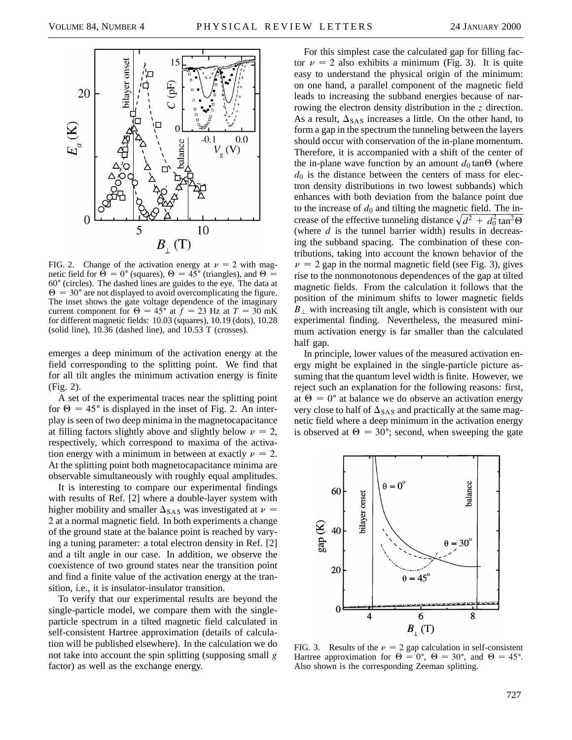

FIG. 2. Change of the activation energy at  $\nu = 2$  with magnetic field for  $\Theta = 0^{\circ}$  (squares),  $\Theta = 45^{\circ}$  (triangles), and  $\Theta =$  $60^{\circ}$  (circles). The dashed lines are guides to the eye. The data at  $\Theta = 30^{\circ}$  are not displayed to avoid overcomplicating the figure. The inset shows the gate voltage dependence of the imaginary current component for  $\Theta = 45^{\circ}$  at  $\hat{f} = 23$  Hz at  $T = 30$  mK for different magnetic fields: 10.03 (squares), 10.19 (dots), 10.28 (solid line), 10.36 (dashed line), and 10.53 T (crosses).

emerges a deep minimum of the activation energy at the field corresponding to the splitting point. We find that for all tilt angles the minimum activation energy is finite (Fig. 2).

A set of the experimental traces near the splitting point for  $\Theta = 45^{\circ}$  is displayed in the inset of Fig. 2. An interplay is seen of two deep minima in the magnetocapacitance at filling factors slightly above and slightly below  $\nu = 2$ , respectively, which correspond to maxima of the activation energy with a minimum in between at exactly  $\nu = 2$ . At the splitting point both magnetocapacitance minima are observable simultaneously with roughly equal amplitudes.

It is interesting to compare our experimental findings with results of Ref. [2] where a double-layer system with higher mobility and smaller  $\Delta_{SAS}$  was investigated at  $\nu =$ 2 at a normal magnetic field. In both experiments a change of the ground state at the balance point is reached by varying a tuning parameter: a total electron density in Ref. [2] and a tilt angle in our case. In addition, we observe the coexistence of two ground states near the transition point and find a finite value of the activation energy at the transition, i.e., it is insulator-insulator transition.

To verify that our experimental results are beyond the single-particle model, we compare them with the singleparticle spectrum in a tilted magnetic field calculated in self-consistent Hartree approximation (details of calculation will be published elsewhere). In the calculation we do not take into account the spin splitting (supposing small *g* factor) as well as the exchange energy.

For this simplest case the calculated gap for filling factor  $\nu = 2$  also exhibits a minimum (Fig. 3). It is quite easy to understand the physical origin of the minimum: on one hand, a parallel component of the magnetic field leads to increasing the subband energies because of narrowing the electron density distribution in the *z* direction. As a result,  $\Delta_{SAS}$  increases a little. On the other hand, to form a gap in the spectrum the tunneling between the layers should occur with conservation of the in-plane momentum. Therefore, it is accompanied with a shift of the center of the in-plane wave function by an amount  $d_0$  tan $\Theta$  (where  $d_0$  is the distance between the centers of mass for electron density distributions in two lowest subbands) which enhances with both deviation from the balance point due to the increase of  $d_0$  and tilting the magnetic field. The increase of the effective tunneling distance  $\sqrt{d^2 + d_0^2 \tan^2{\theta}}$ (where  $d$  is the tunnel barrier width) results in decreasing the subband spacing. The combination of these contributions, taking into account the known behavior of the  $\nu$  = 2 gap in the normal magnetic field (see Fig. 3), gives rise to the nonmonotonous dependences of the gap at tilted magnetic fields. From the calculation it follows that the position of the minimum shifts to lower magnetic fields  $B_{\perp}$  with increasing tilt angle, which is consistent with our experimental finding. Nevertheless, the measured minimum activation energy is far smaller than the calculated half gap.

In principle, lower values of the measured activation energy might be explained in the single-particle picture assuming that the quantum level width is finite. However, we reject such an explanation for the following reasons: first, at  $\Theta = 0^{\circ}$  at balance we do observe an activation energy very close to half of  $\Delta_{SAS}$  and practically at the same magnetic field where a deep minimum in the activation energy is observed at  $\Theta = 30^{\circ}$ ; second, when sweeping the gate



FIG. 3. Results of the  $\nu = 2$  gap calculation in self-consistent Hartree approximation for  $\Theta = 0^{\circ}$ ,  $\Theta = 30^{\circ}$ , and  $\Theta = 45^{\circ}$ . Also shown is the corresponding Zeeman splitting.